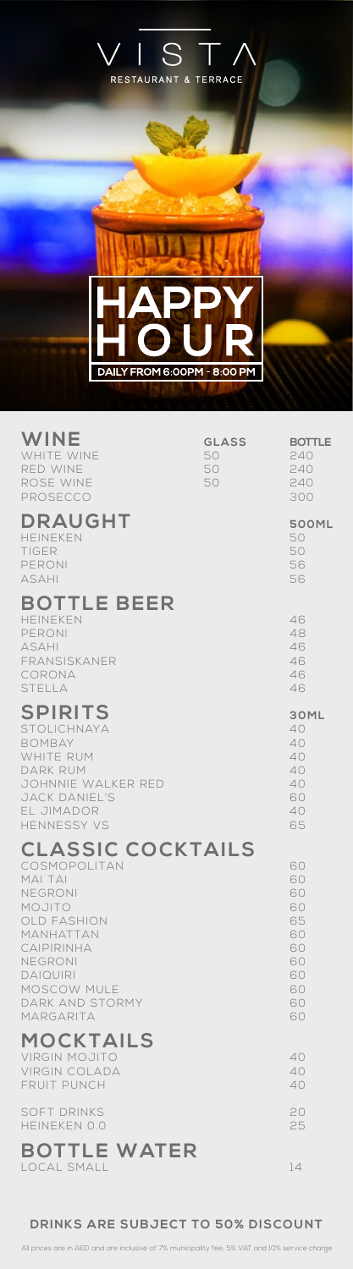

| WINE<br>WHITE WINE<br>RED WINE<br>ROSE WINE<br>PROSECCO                                                                                                                                                | <b>GLASS</b><br>50<br>50<br>50 | <b>BOTTLE</b><br>240<br>240<br>240<br>300                            |
|--------------------------------------------------------------------------------------------------------------------------------------------------------------------------------------------------------|--------------------------------|----------------------------------------------------------------------|
| DRAUGHT<br>HEINEKEN<br><b>TIGER</b><br>PERONI<br><b>ASAHI</b>                                                                                                                                          |                                | <b>500ML</b><br>50<br>50<br>56<br>56                                 |
| <b>BOTTLE BEER</b><br><b>HEINEKEN</b><br>PERONI<br><b>ASAHI</b><br>FRANSISKANER<br>CORONA<br>STELLA                                                                                                    |                                | 46<br>48<br>46<br>46<br>46<br>46                                     |
| <b>SPIRITS</b><br><b>STOLICHNAYA</b><br><b>BOMBAY</b><br><b>WHITE RUM</b><br><b>DARK RUM</b><br>JOHNNIE WALKER RED<br>JACK DANIEL'S<br>EL JIMADOR<br><b>HENNESSY VS</b>                                |                                | 30ML<br>40<br>40<br>40<br>40<br>40<br>60<br>40<br>65                 |
| <b>CLASSIC COCKTAILS</b><br>COSMOPOLITAN<br>MAI TAI<br>NEGRONI<br>MOJITO<br><b>OLD FASHION</b><br>MANHATTAN<br>CAIPIRINHA<br>NEGRONI<br><b>DAIQUIRI</b><br>MOSCOW MULE<br>DARK AND STORMY<br>MARGARITA |                                | 60<br>60<br>60<br>60<br>65<br>60<br>60<br>60<br>60<br>60<br>60<br>60 |
| <b>MOCKTAILS</b><br><b>VIRGIN MOJITO</b><br><b>VIRGIN COLADA</b><br><b>FRUIT PUNCH</b>                                                                                                                 |                                | 40<br>40<br>40                                                       |
| <b>SOFT DRINKS</b><br>HEINEKEN 0.0                                                                                                                                                                     |                                | 20<br>25                                                             |
| <b>BOTTLE WATER</b>                                                                                                                                                                                    |                                |                                                                      |

### **DRINKS ARE SUBJECT TO 50% DISCOUNT**

LOCAL SMALL 14

All prices are in AED and are inclusive of 7% municipality fee, 5% VAT and 10% service charge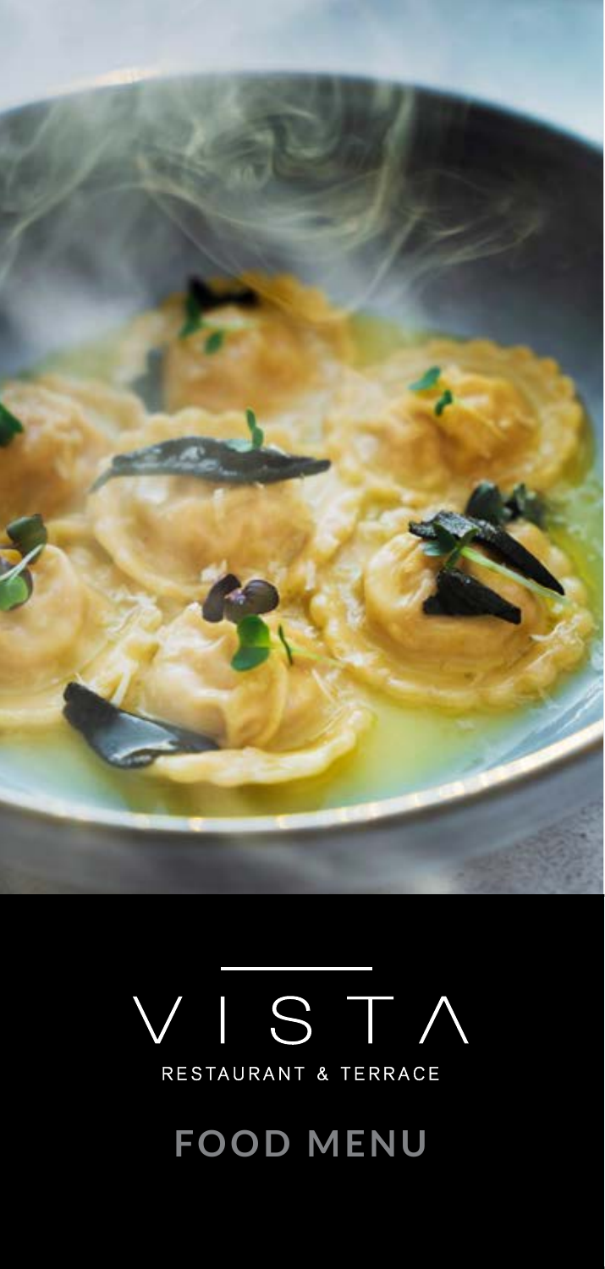

# ISTA RESTAURANT & TERRACE

**FOOD MENU**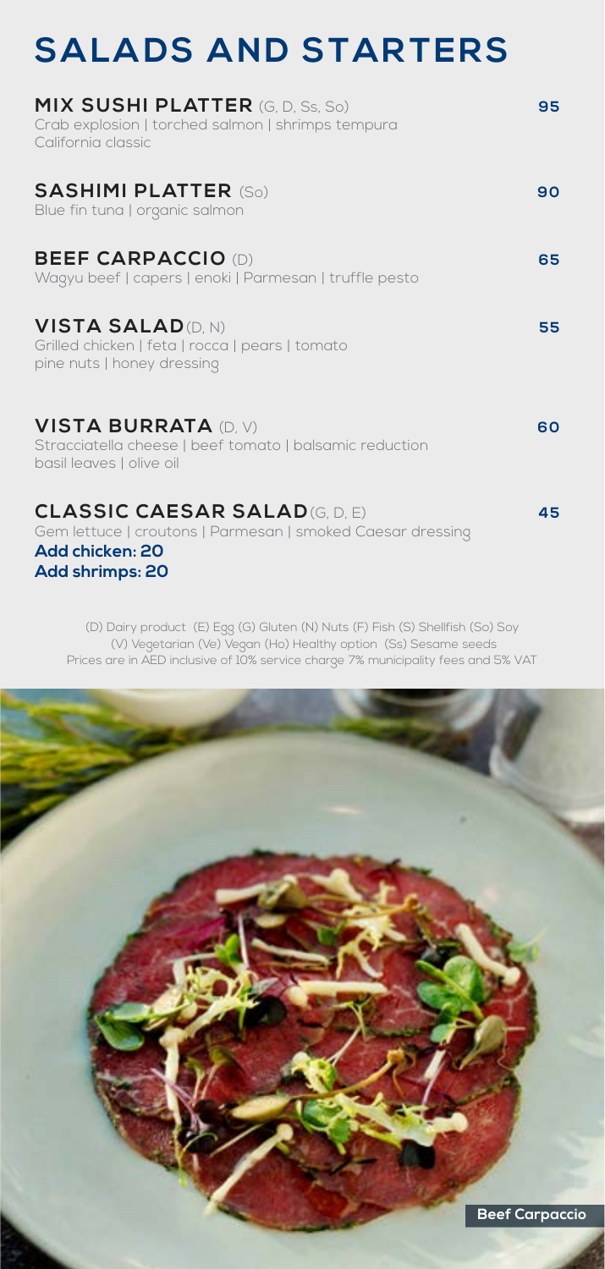### **SALADS AND STARTERS**

| <b>MIX SUSHI PLATTER</b> (G, D, Ss, So)<br>Crab explosion   torched salmon   shrimps tempura<br>California classic                       | 95 |
|------------------------------------------------------------------------------------------------------------------------------------------|----|
| <b>SASHIMI PLATTER (So)</b><br>Blue fin tuna   organic salmon                                                                            | 90 |
| <b>BEEF CARPACCIO (D)</b><br>Wagyu beef   capers   enoki   Parmesan   truffle pesto                                                      | 65 |
| <b>VISTA SALAD (D. N)</b><br>Grilled chicken   feta   rocca   pears   tomato<br>pine nuts   honey dressing                               | 55 |
| <b>VISTA BURRATA (D. V)</b><br>Stracciatella cheese   beef tomato   balsamic reduction<br>basil leaves   olive oil                       | 60 |
| <b>CLASSIC CAESAR SALAD(G, D, E)</b><br>Gem lettuce   croutons   Parmesan   smoked Caesar dressing<br>Add chicken: 20<br>Add shrimps: 20 | 45 |

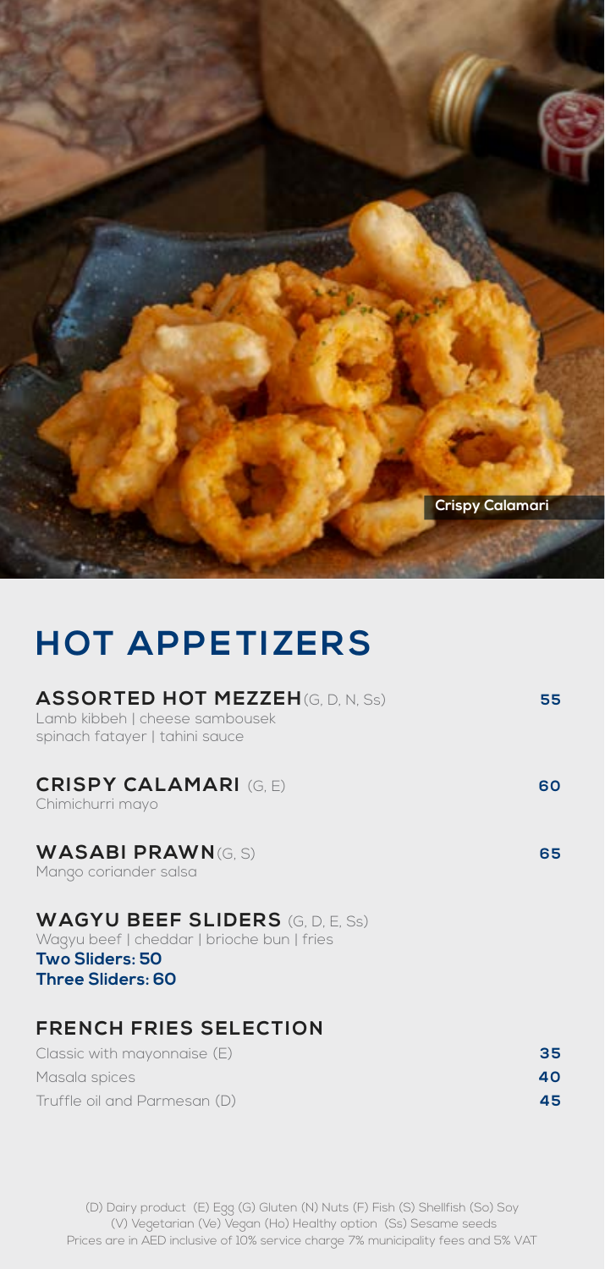

### **HOT APPETIZERS**

| <b>ASSORTED HOT MEZZEH(G, D, N, Ss)</b><br>Lamb kibbeh   cheese sambousek<br>spinach fatayer   tahini sauce                   | 55 |
|-------------------------------------------------------------------------------------------------------------------------------|----|
| <b>CRISPY CALAMARI (G.E)</b><br>Chimichurri mayo                                                                              | 60 |
| <b>WASABI PRAWN(G. S)</b><br>Mango coriander salsa                                                                            | 65 |
| <b>WAGYU BEEF SLIDERS</b> (G, D, E, Ss)<br>Wagyu beef   cheddar   brioche bun   fries<br>Two Sliders: 50<br>Three Sliders: 60 |    |
| <b>FRENCH FRIES SELECTION</b>                                                                                                 |    |

| Classic with mayonnaise (E)  | 35  |
|------------------------------|-----|
| Masala spices                | 40. |
| Truffle oil and Parmesan (D) | 45. |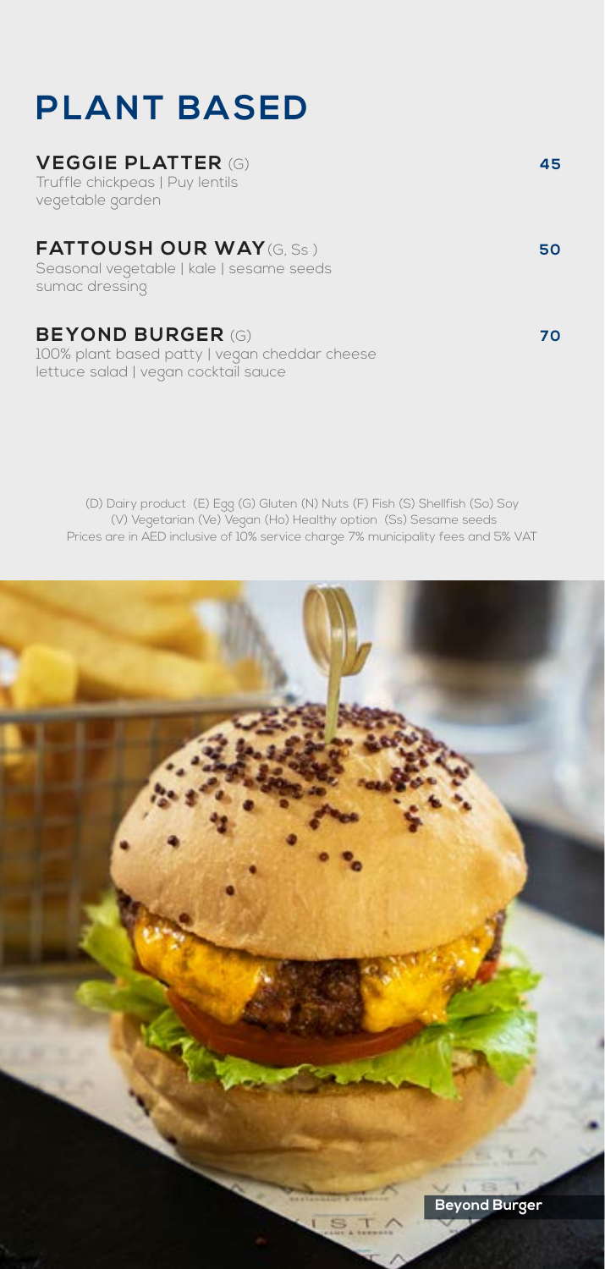## **PLANT BASED**

#### **VEGGIE PLATTER** (G) **45**

Truffle chickpeas | Puy lentils vegetable garden

### **FATTOUSH OUR WAY**(G, Ss) **50**

Seasonal vegetable | kale | sesame seeds sumac dressing

### **BEYOND BURGER** (G) **70**

100% plant based patty | vegan cheddar cheese lettuce salad | vegan cocktail sauce

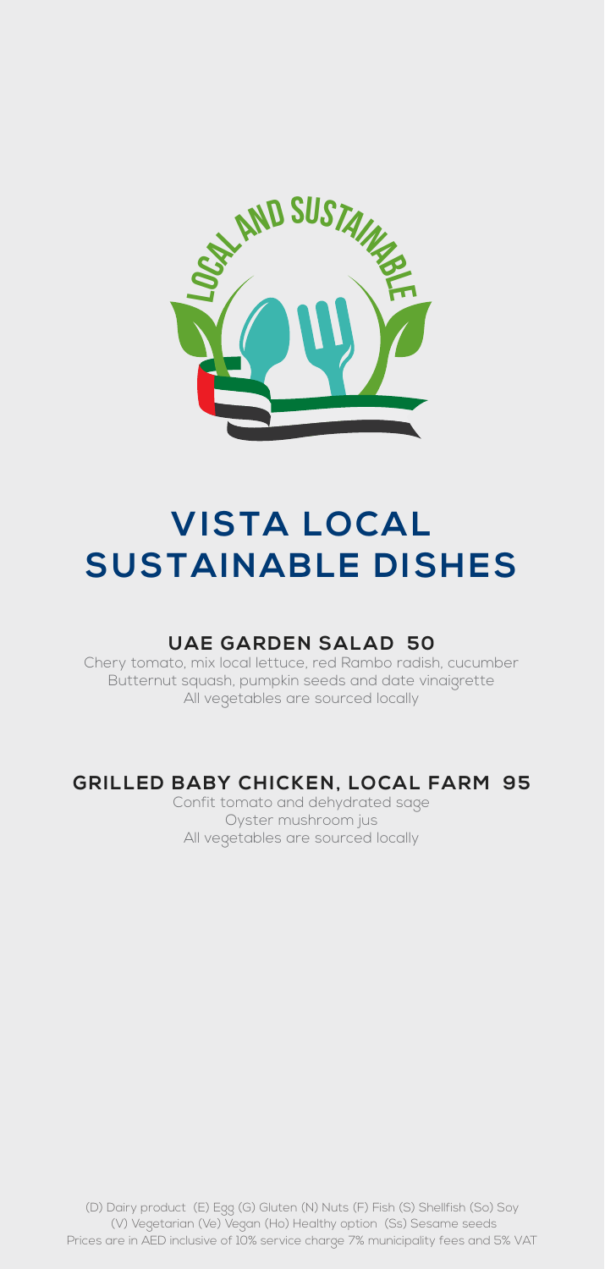

### **VISTA LOCAL SUSTAINABLE DISHES**

#### **UAE GARDEN SALAD 50**

Chery tomato, mix local lettuce, red Rambo radish, cucumber Butternut squash, pumpkin seeds and date vinaigrette All vegetables are sourced locally

#### **GRILLED BABY CHICKEN, LOCAL FARM 95**

Confit tomato and dehydrated sage Oyster mushroom jus All vegetables are sourced locally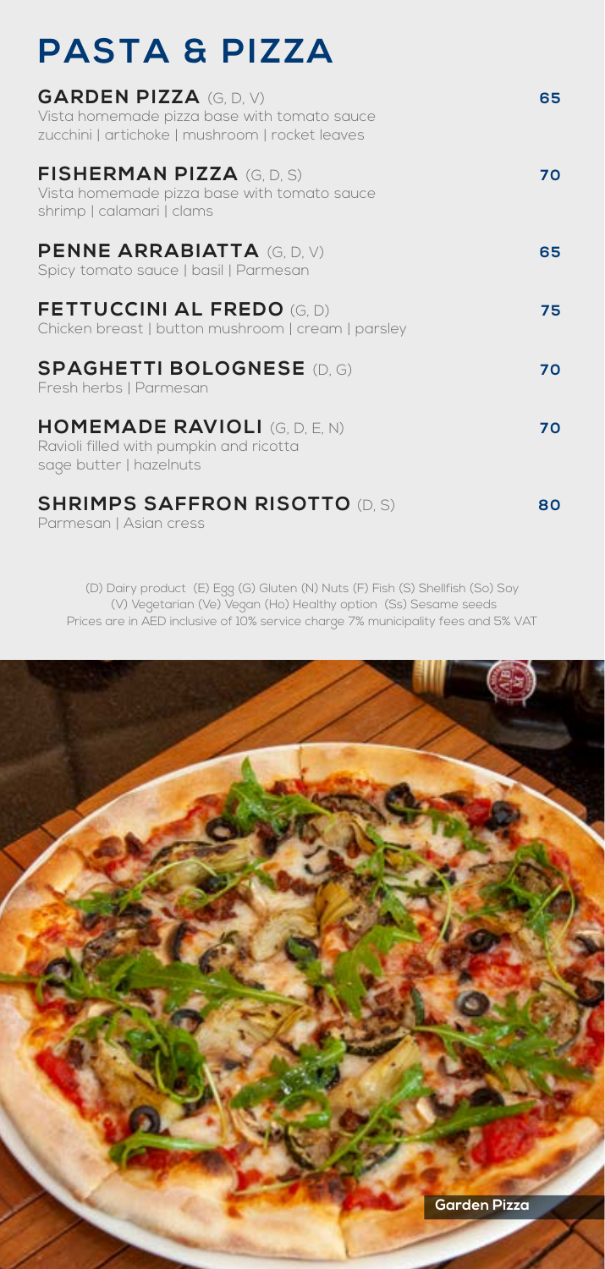## **PASTA & PIZZA**

| <b>GARDEN PIZZA (G, D, V)</b><br>Vista homemade pizza base with tomato sauce<br>zucchini   artichoke   mushroom   rocket leaves | 65 |
|---------------------------------------------------------------------------------------------------------------------------------|----|
| <b>FISHERMAN PIZZA (G.D.S)</b><br>Vista homemade pizza base with tomato sauce<br>shrimp   calamari   clams                      | 70 |
| <b>PENNE ARRABIATTA (G, D, V)</b><br>Spicy tomato sauce   basil   Parmesan                                                      | 65 |
| <b>FETTUCCINI AL FREDO</b> (G.D)<br>Chicken breast   button mushroom   cream   parsley                                          | 75 |
| <b>SPAGHETTI BOLOGNESE (D. G)</b><br>Fresh herbs   Parmesan                                                                     | 70 |
| <b>HOMEMADE RAVIOLI (G, D, E, N)</b><br>Ravioli filled with pumpkin and ricotta<br>sage butter   hazelnuts                      | 70 |
| <b>SHRIMPS SAFFRON RISOTTO (D. S)</b><br>Parmesan   Asian cress                                                                 | 80 |

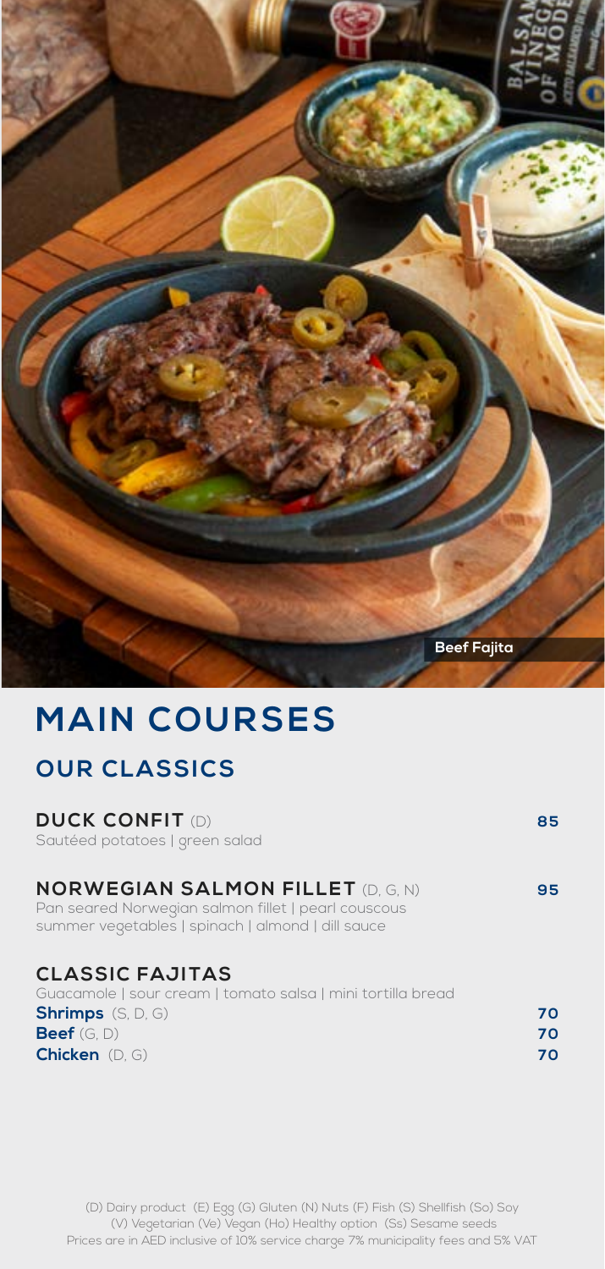

### **MAIN COURSES OUR CLASSICS**

#### **DUCK CONFIT** (D) **85**

Sautéed potatoes | green salad

| <b>NORWEGIAN SALMON FILLET (D. G. N)</b>            | 95 |
|-----------------------------------------------------|----|
| Pan seared Norwegian salmon fillet   pearl couscous |    |

summer vegetables | spinach | almond | dill sauce

#### **CLASSIC FAJITAS**

Guacamole | sour cream | tomato salsa | mini tortilla bread **Shrimps** (S, D, G) **70**<br>**Reef** (G, D) **70**<br>**Reef** (G, D) **70 Beef** (G, D) **Chicken** (D, G) **70**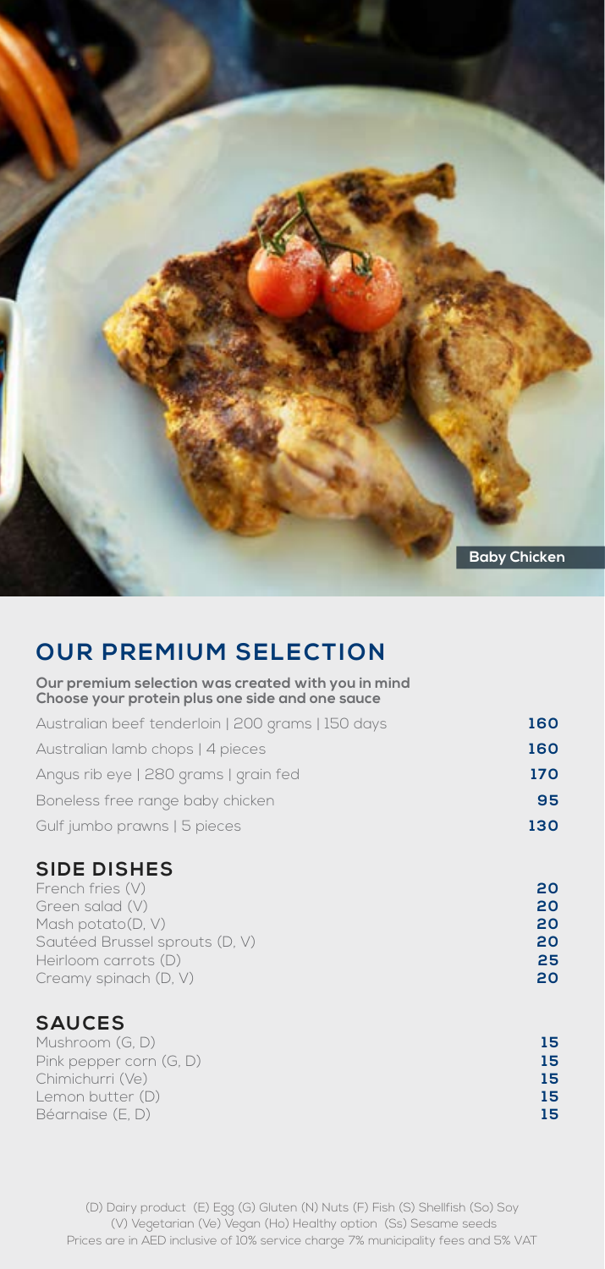

### **OUR PREMIUM SELECTION**

**Our premium selection was created with you in mind Choose your protein plus one side and one sauce**

| Gulf jumbo prawns   5 pieces                      | 130 |
|---------------------------------------------------|-----|
| Boneless free range baby chicken                  | 95  |
| Angus rib eye   280 grams   grain fed             | 170 |
| Australian lamb chops   4 pieces                  | 160 |
| Australian beef tenderloin   200 grams   150 days | 160 |

#### **SIDE DISHES**

| French fries (V)               | 20 |
|--------------------------------|----|
| Green salad (V)                | 20 |
| Mash potato(D.V)               | 20 |
| Sautéed Brussel sprouts (D, V) | 20 |
| Heirloom carrots (D)           | 25 |
| Creamy spinach (D, V)          | 20 |
|                                |    |

### **SAUCES**

| 15 |
|----|
| 15 |
| 15 |
| 15 |
| 15 |
|    |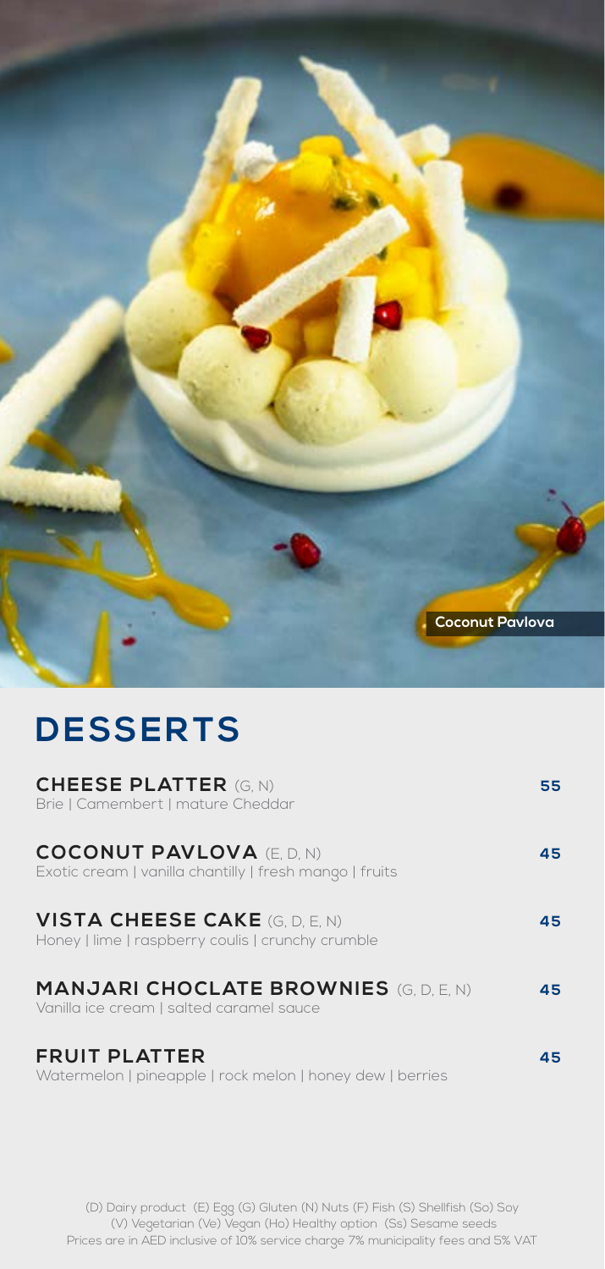

## **DESSERTS**

| <b>CHEESE PLATTER (G. N)</b><br>Brie   Camembert   mature Cheddar                          | 55  |
|--------------------------------------------------------------------------------------------|-----|
| <b>COCONUT PAVLOVA (E.D. N)</b><br>Exotic cream   vanilla chantilly   fresh mango   fruits | 45  |
| <b>VISTA CHEESE CAKE (G, D, E, N)</b><br>Honey   lime   raspberry coulis   crunchy crumble | 45  |
| <b>MANJARI CHOCLATE BROWNIES (G, D, E, N)</b><br>Vanilla ice cream   salted caramel sauce  | 45  |
| <b>FRUIT PLATTER</b><br>Watermelon   pineapple   rock melon   honey dew   berries          | 45. |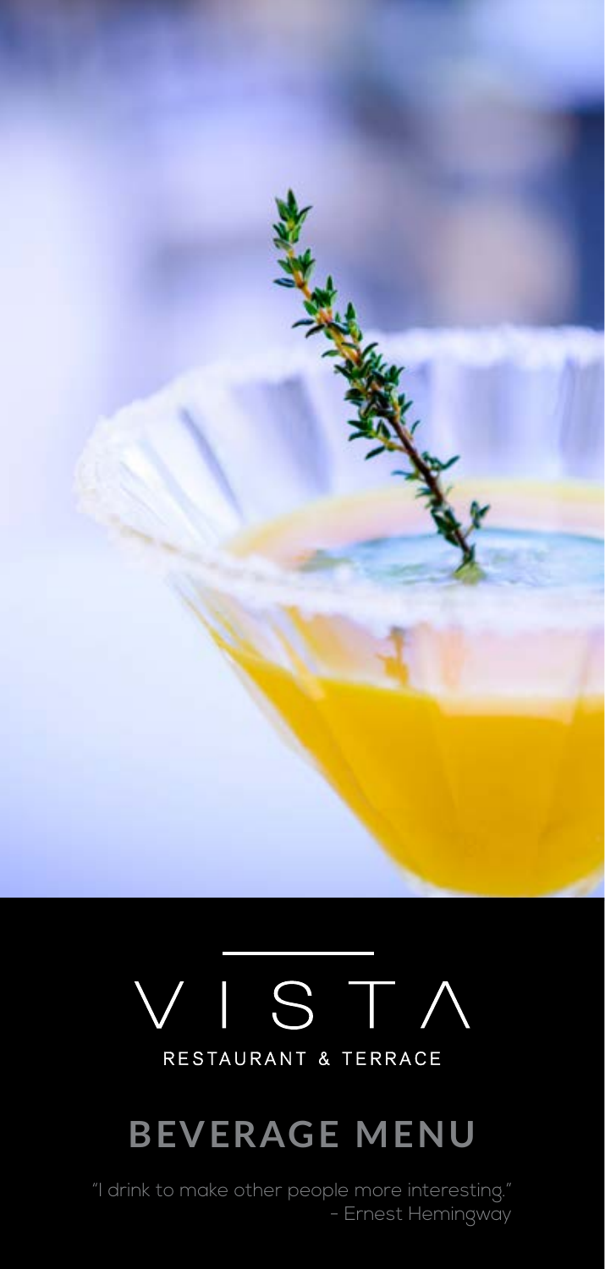

# S -RESTAURANT & TERRACE

# **BEVERAGE MENU**

- Ernest Hemingway "I drink to make other people more interesting." - Ernest Hemingway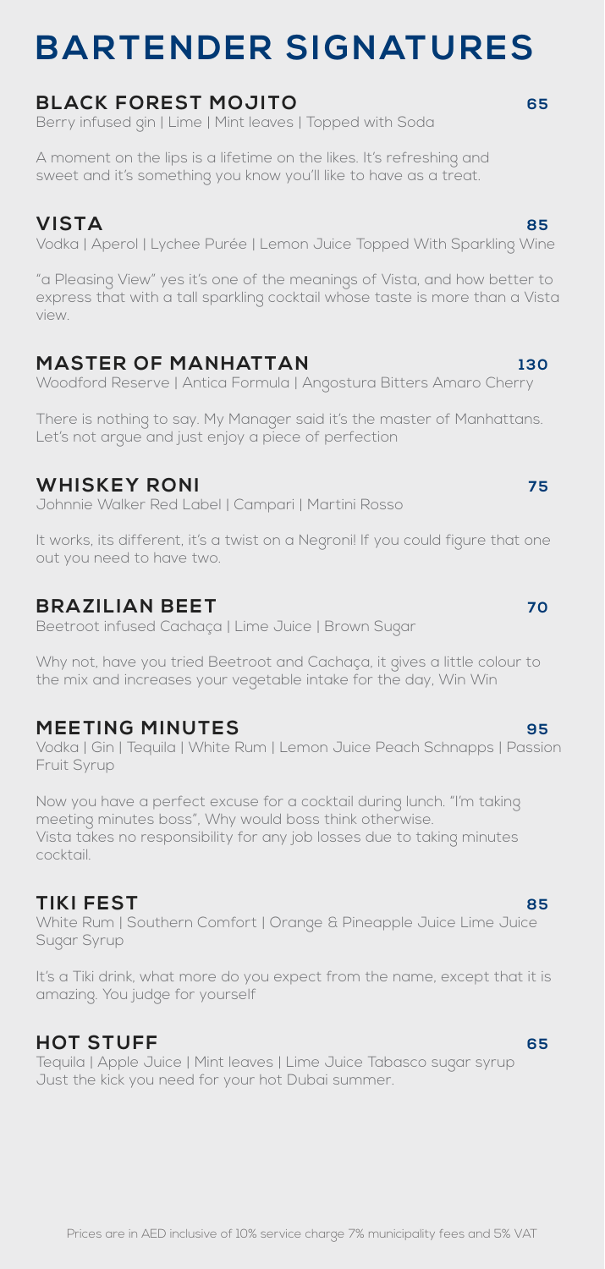### **BARTENDER SIGNATURES**

#### **BLACK FOREST MOJITO 65**

Berry infused gin | Lime | Mint leaves | Topped with Soda

A moment on the lips is a lifetime on the likes. It's refreshing and sweet and it's something you know you'll like to have as a treat.

**VISTA 85** Vodka | Aperol | Lychee Purée | Lemon Juice Topped With Sparkling Wine

"a Pleasing View" yes it's one of the meanings of Vista, and how better to express that with a tall sparkling cocktail whose taste is more than a Vista view.

#### **MASTER OF MANHATTAN** 130

Woodford Reserve | Antica Formula | Angostura Bitters Amaro Cherry

There is nothing to say. My Manager said it's the master of Manhattans. Let's not argue and just enjoy a piece of perfection

#### **WHISKEY RONI 75**

Johnnie Walker Red Label | Campari | Martini Rosso

It works, its different, it's a twist on a Negroni! If you could figure that one out you need to have two.

#### **BRAZILIAN BEET** 70

Beetroot infused Cachaça | Lime Juice | Brown Sugar

Why not, have you tried Beetroot and Cachaça, it gives a little colour to the mix and increases your vegetable intake for the day, Win Win

#### **MEETING MINUTES 95**

Vodka | Gin | Tequila | White Rum | Lemon Juice Peach Schnapps | Passion Fruit Syrup

Now you have a perfect excuse for a cocktail during lunch. "I'm taking meeting minutes boss", Why would boss think otherwise. Vista takes no responsibility for any job losses due to taking minutes cocktail.

#### **TIKI FEST 85**

White Rum | Southern Comfort | Orange & Pineapple Juice Lime Juice Sugar Syrup

It's a Tiki drink, what more do you expect from the name, except that it is amazing. You judge for yourself

#### **HOT STUFF 65**

Tequila | Apple Juice | Mint leaves | Lime Juice Tabasco sugar syrup Just the kick you need for your hot Dubai summer.

#### Prices are in AED inclusive of 10% service charge 7% municipality fees and 5% VAT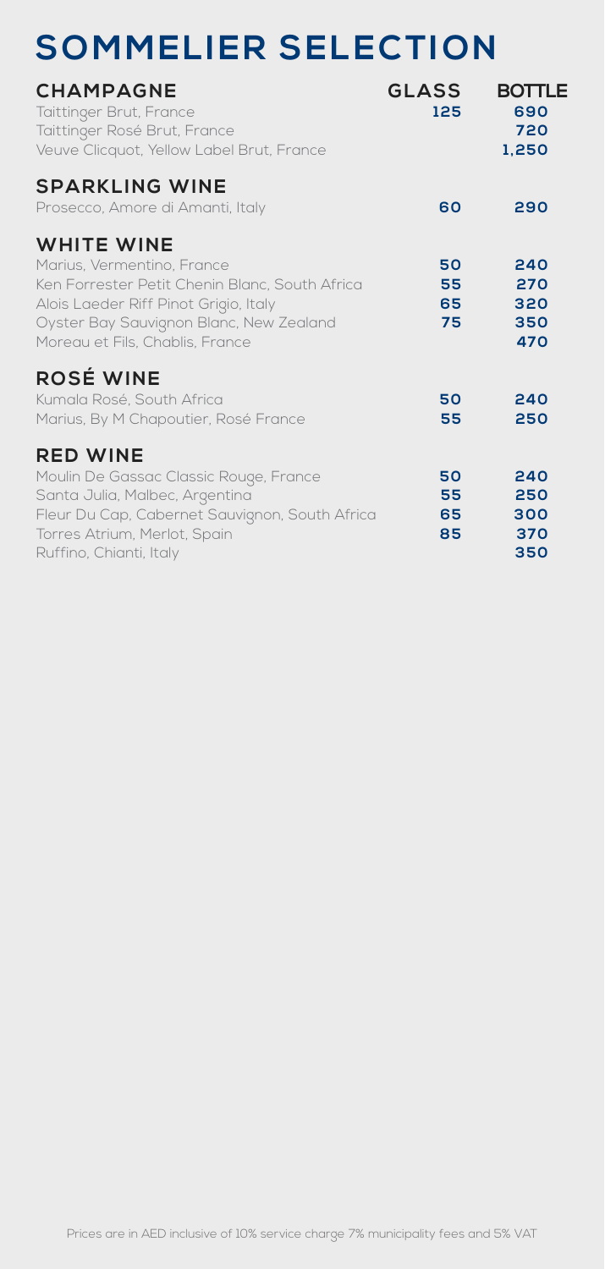## **SOMMELIER SELECTION**

| <b>CHAMPAGNE</b><br>Taittinger Brut, France<br>Taittinger Rosé Brut, France<br>Veuve Clicquot, Yellow Label Brut, France                                                                                                 | <b>GLASS</b><br>125  | <b>BOTTLE</b><br>690<br>720<br>1.250 |
|--------------------------------------------------------------------------------------------------------------------------------------------------------------------------------------------------------------------------|----------------------|--------------------------------------|
| <b>SPARKLING WINE</b><br>Prosecco, Amore di Amanti, Italy                                                                                                                                                                | 60                   | 290                                  |
| <b>WHITE WINE</b><br>Marius, Vermentino, France<br>Ken Forrester Petit Chenin Blanc, South Africa<br>Alois Laeder Riff Pinot Grigio, Italy<br>Oyster Bay Sauvignon Blanc, New Zealand<br>Moreau et Fils, Chablis, France | 50<br>55<br>65<br>75 | 240<br>270<br>320<br>350<br>470      |
| <b>ROSÉ WINE</b><br>Kumala Rosé, South Africa<br>Marius, By M Chapoutier, Rosé France                                                                                                                                    | 50<br>55             | 240<br>250                           |
| <b>RED WINE</b><br>Moulin De Gassac Classic Rouge, France<br>Santa Julia, Malbec, Argentina<br>Fleur Du Cap, Cabernet Sauvignon, South Africa<br>Torres Atrium, Merlot, Spain<br>Ruffino, Chianti, Italy                 | 50<br>55<br>65<br>85 | 240<br>250<br>300<br>370<br>350      |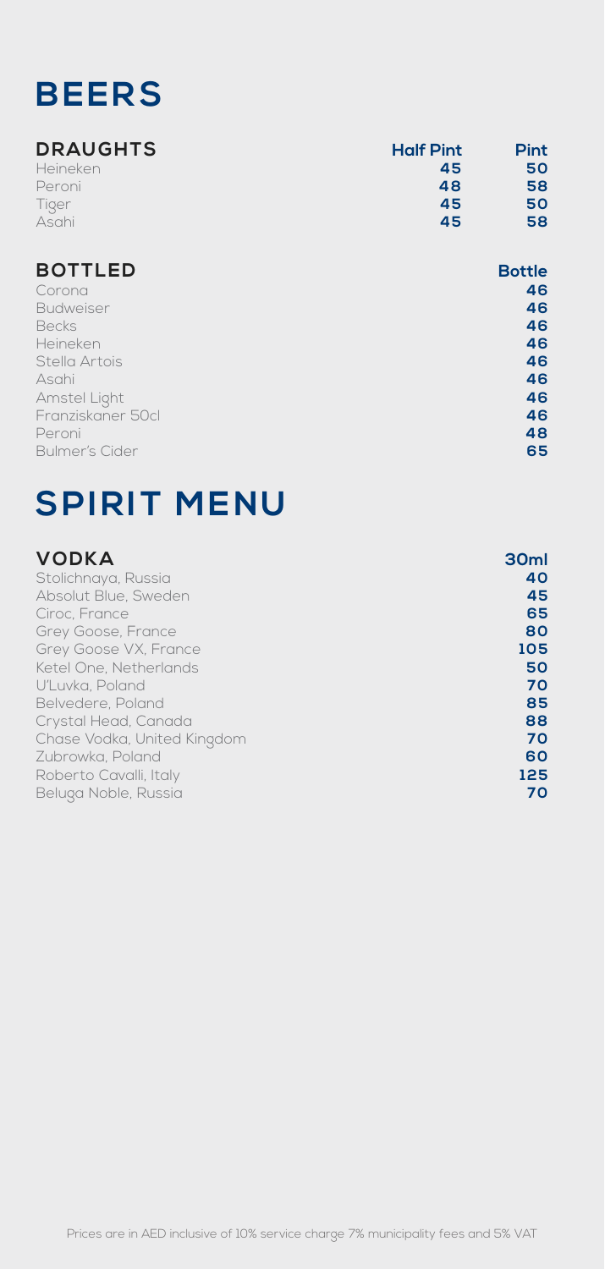### **BEERS**

| <b>DRAUGHTS</b> | <b>Half Pint</b> | Pint |
|-----------------|------------------|------|
| Heineken        | 45               | 50   |
| Peroni          | 48               | 58   |
| Tiger           | 45               | 50   |
| Asahi           | 45               | 58   |

| <b>BOTTLED</b>        | <b>Bottle</b> |
|-----------------------|---------------|
| Corona                | 46            |
| Budweiser             | 46            |
| <b>Becks</b>          | 46            |
| Heineken              | 46            |
| Stella Artois         | 46            |
| Asahi                 | 46            |
| Amstel Light          | 46            |
| Franziskaner 50cl     | 46            |
| Peroni                | 48            |
| <b>Bulmer's Cider</b> | 65            |

## **SPIRIT MENU**

| <b>VODKA</b>                | 30ml |
|-----------------------------|------|
| Stolichnaya, Russia         | 40   |
| Absolut Blue, Sweden        | 45   |
| Ciroc, France               | 65   |
| Grey Goose, France          | 80   |
| Grey Goose VX, France       | 105  |
| Ketel One. Netherlands      | 50   |
| U'Luvka, Poland             | 70   |
| Belvedere, Poland           | 85   |
| Crystal Head, Canada        | 88   |
| Chase Vodka, United Kingdom | 70   |
| Zubrowka, Poland            | 60   |
| Roberto Cavalli, Italy      | 125  |
| Beluga Noble, Russia        | 70   |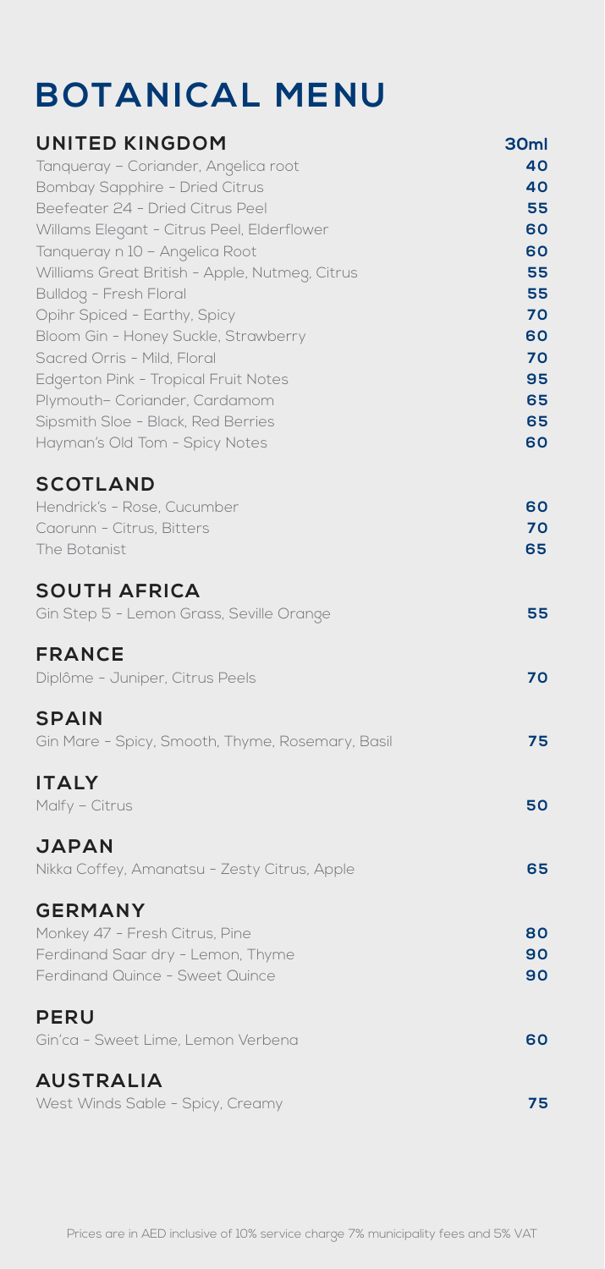## **BOTANICAL MENU**

| <b>UNITED KINGDOM</b>                                                            | 30ml     |
|----------------------------------------------------------------------------------|----------|
| Tanqueray - Coriander, Angelica root                                             | 40       |
| Bombay Sapphire - Dried Citrus                                                   | 40       |
| Beefeater 24 - Dried Citrus Peel                                                 | 55       |
| Willams Elegant - Citrus Peel, Elderflower                                       | 60       |
| Tanqueray n 10 - Angelica Root<br>Williams Great British - Apple, Nutmeg, Citrus | 60<br>55 |
| Bulldog - Fresh Floral                                                           | 55       |
| Opihr Spiced - Earthy, Spicy                                                     | 70       |
| Bloom Gin - Honey Suckle, Strawberry                                             | 60       |
| Sacred Orris - Mild, Floral                                                      | 70       |
| Edgerton Pink - Tropical Fruit Notes                                             | 95       |
| Plymouth- Coriander, Cardamom                                                    | 65       |
| Sipsmith Sloe - Black, Red Berries                                               | 65       |
| Hayman's Old Tom - Spicy Notes                                                   | 60       |
| <b>SCOTLAND</b>                                                                  |          |
| Hendrick's - Rose, Cucumber                                                      | 60       |
| Caorunn - Citrus, Bitters                                                        | 70       |
| The Botanist                                                                     | 65       |
| <b>SOUTH AFRICA</b>                                                              |          |
| Gin Step 5 - Lemon Grass, Seville Orange                                         | 55       |
| <b>FRANCE</b>                                                                    |          |
| Diplôme - Juniper, Citrus Peels                                                  | 70       |
| <b>SPAIN</b>                                                                     |          |
| Gin Mare - Spicy, Smooth, Thyme, Rosemary, Basil                                 | 75       |
|                                                                                  |          |
| <b>ITALY</b>                                                                     |          |
| Malfy - Citrus                                                                   | 50       |
| <b>JAPAN</b>                                                                     |          |
| Nikka Coffey, Amanatsu - Zesty Citrus, Apple                                     | 65       |
|                                                                                  |          |
| <b>GERMANY</b>                                                                   |          |
| Monkey 47 - Fresh Citrus, Pine                                                   | 80       |
| Ferdinand Saar dry - Lemon, Thyme<br>Ferdinand Quince - Sweet Quince             | 90<br>90 |
|                                                                                  |          |
| <b>PERU</b>                                                                      |          |
| Gin'ca - Sweet Lime, Lemon Verbena                                               | 60       |
| <b>AUSTRALIA</b>                                                                 |          |
| West Winds Sable - Spicy, Creamy                                                 | 75       |
|                                                                                  |          |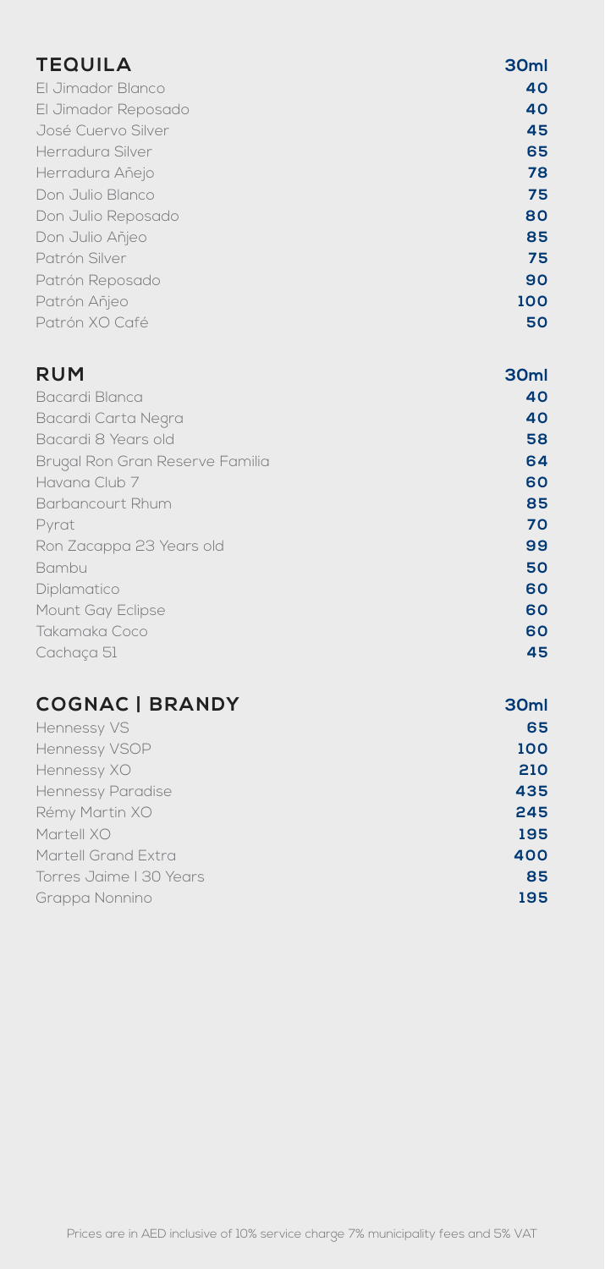| <b>TEQUILA</b>                  | 30ml |
|---------------------------------|------|
| El Jimador Blanco               | 40   |
| El Jimador Reposado             | 40   |
| José Cuervo Silver              | 45   |
| Herradura Silver                | 65   |
| Herradura Añejo                 | 78   |
| Don Julio Blanco                | 75   |
| Don Julio Reposado              | 80   |
| Don Julio Añjeo                 | 85   |
| Patrón Silver                   | 75   |
| Patrón Reposado                 | 90   |
| Patrón Añjeo                    | 100  |
| Patrón XO Café                  | 50   |
| <b>RUM</b>                      | 30ml |
| Bacardi Blanca                  | 40   |
| Bacardi Carta Negra             | 40   |
| Bacardi 8 Years old             | 58   |
| Brugal Ron Gran Reserve Familia | 64   |
| Havana Club 7                   | 60   |
| Barbancourt Rhum                | 85   |
| Pyrat                           | 70   |
| Ron Zacappa 23 Years old        | 99   |
| Bambu                           | 50   |
| Diplamatico                     | 60   |
| Mount Gay Eclipse               | 60   |
| Takamaka Coco                   | 60   |
| Cachaça 51                      | 45   |
| <b>COGNAC   BRANDY</b>          | 30ml |
| Hennessy VS                     | 65   |
| Hennessy VSOP                   | 100  |
| Hennessy XO                     | 210  |
| <b>Hennessy Paradise</b>        | 435  |
| Rémy Martin XO                  | 245  |

| Martell XO              | 195 |
|-------------------------|-----|
| Martell Grand Extra .   | 400 |
| Torres Jaime I 30 Years | 85  |
| Grappa Nonnino          | 195 |
|                         |     |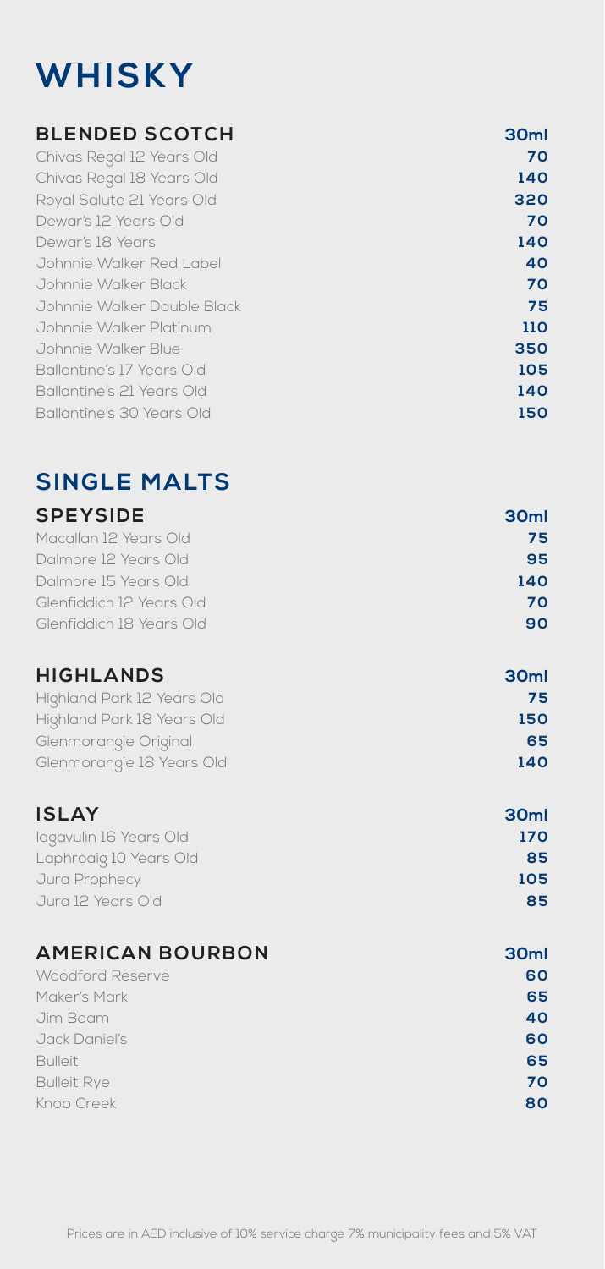## **WHISKY**

#### **BLENDED SCOTCH 30ml**

| Chivas Regal 12 Years Old   | 70  |
|-----------------------------|-----|
| Chivas Regal 18 Years Old   | 140 |
| Royal Salute 21 Years Old   | 320 |
| Dewar's 12 Years Old        | 70  |
| Dewar's 18 Years            | 140 |
| Johnnie Walker Red Label    | 40  |
| Johnnie Walker Black        | 70  |
| Johnnie Walker Double Black | 75  |
| Johnnie Walker Platinum     | 110 |
| Johnnie Walker Blue         | 350 |
| Ballantine's 17 Years Old   | 105 |
| Ballantine's 21 Years Old   | 140 |
| Ballantine's 30 Years Old   | 150 |
|                             |     |

### **SINGLE MALTS**

### **SPEYSIDE** 30ml

| Macallan 12 Years Old    | 75  |
|--------------------------|-----|
| Dalmore 12 Years Old     | 95  |
| Dalmore 15 Years Old     | 140 |
| Glenfiddich 12 Years Old | 70  |
| Glenfiddich 18 Years Old | 90  |
|                          |     |

| <b>HIGHLANDS</b>           | 30 <sub>ml</sub> |
|----------------------------|------------------|
| Highland Park 12 Years Old | 75               |
| Highland Park 18 Years Old | 150              |
| Glenmorangie Original      | 65               |
| Glenmorangie 18 Years Old  | 140              |

### **I SLAY 30ml**

| lagavulin 16 Years Old | 170 |
|------------------------|-----|
| Laphroaig 10 Years Old | 85  |
| Jura Prophecy          | 105 |
| Jura 12 Years Old      | 85  |

| <b>AMERICAN BOURBON</b> | 30 <sub>ml</sub> |
|-------------------------|------------------|
| Woodford Reserve        | 60               |
| Maker's Mark            | 65               |
| Jim Beam                | 40               |
| Jack Daniel's           | 60               |
| <b>Bulleit</b>          | 65               |
| <b>Bulleit Rye</b>      | 70               |
| Knob Creek              | 80               |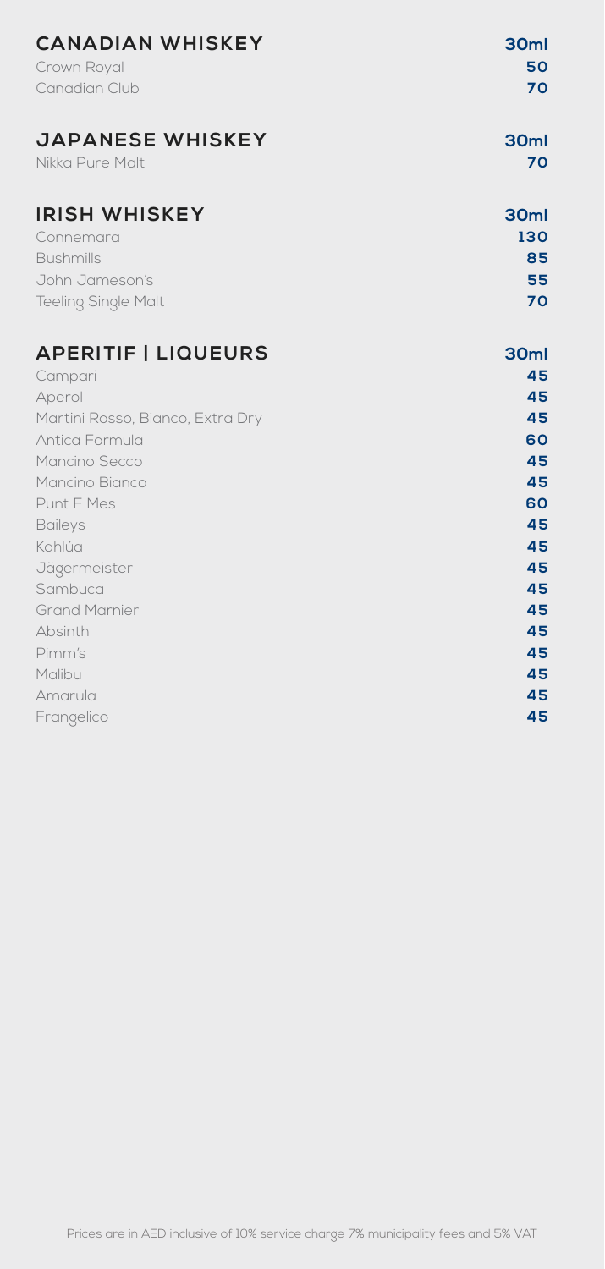| <b>CANADIAN WHISKEY</b><br>Crown Royal<br>Canadian Club                                               | 30ml<br>50<br>70                          |
|-------------------------------------------------------------------------------------------------------|-------------------------------------------|
| <b>JAPANESE WHISKEY</b><br>Nikka Pure Malt                                                            | 30ml<br>70                                |
| <b>IRISH WHISKEY</b><br>Connemara<br><b>Bushmills</b><br>John Jameson's<br><b>Teeling Single Malt</b> | 30 <sub>ml</sub><br>130<br>85<br>55<br>70 |
| <b>APERITIF   LIQUEURS</b><br>Campari                                                                 | 30ml<br>45                                |
| Aperol<br>Martini Rosso, Bianco, Extra Dry                                                            | 45<br>45                                  |
| Antica Formula                                                                                        | 60                                        |
| Mancino Secco<br>Mancino Bianco                                                                       | 45<br>45                                  |
| Punt E Mes                                                                                            | 60                                        |
| <b>Baileys</b>                                                                                        | 45                                        |
| Kahlúa                                                                                                | 45                                        |
| Jägermeister                                                                                          | 45                                        |
| Sambuca                                                                                               | 45                                        |
| <b>Grand Marnier</b><br>Absinth                                                                       | 45<br>45                                  |
| Pimm's                                                                                                | 45                                        |
| Malibu                                                                                                | 45                                        |
| Amarula                                                                                               | 45                                        |
| Frangelico                                                                                            | 45                                        |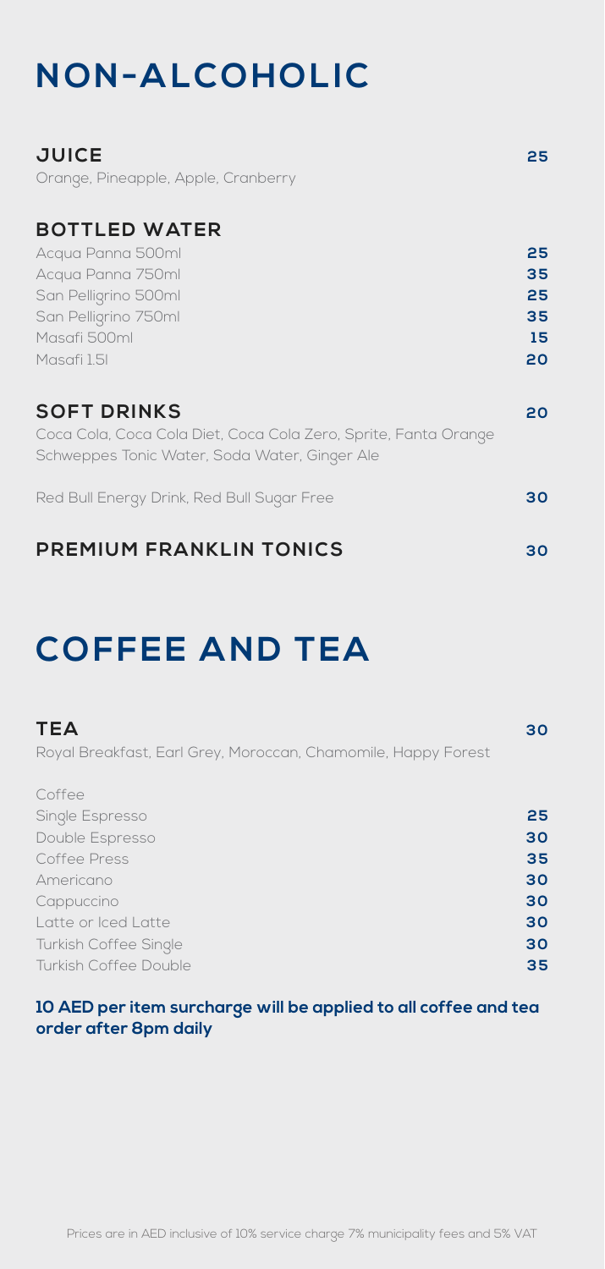## **NON-ALCOHOLIC**

| <b>JUICE</b><br>Orange, Pineapple, Apple, Cranberry                                                                                           | 25                               |
|-----------------------------------------------------------------------------------------------------------------------------------------------|----------------------------------|
| <b>BOTTLED WATER</b><br>Acqua Panna 500ml<br>Acqua Panna 750ml<br>San Pelligrino 500ml<br>San Pelligrino 750ml<br>Masafi 500ml<br>Masafi 1.5I | 25<br>35<br>25<br>35<br>15<br>20 |
| <b>SOFT DRINKS</b><br>Coca Cola, Coca Cola Diet, Coca Cola Zero, Sprite, Fanta Orange<br>Schweppes Tonic Water, Soda Water, Ginger Ale        | 20                               |
| Red Bull Energy Drink, Red Bull Sugar Free                                                                                                    | 30                               |
| <b>PREMIUM FRANKLIN TONICS</b>                                                                                                                | 30                               |

### **COFFEE AND TEA**

| <b>TEA</b>                                                    | 30 |
|---------------------------------------------------------------|----|
| Royal Breakfast, Earl Grey, Moroccan, Chamomile, Happy Forest |    |
| Coffee                                                        |    |
| Single Espresso                                               | 25 |
| Double Espresso                                               | 30 |
| Coffee Press                                                  | 35 |
| Americano                                                     | 30 |
| Cappuccino                                                    | 30 |
| Latte or Iced Latte                                           | 30 |
| <b>Turkish Coffee Single</b>                                  | 30 |
| Turkish Coffee Double                                         | 35 |

#### **10 AED per item surcharge will be applied to all coffee and tea order after 8pm daily**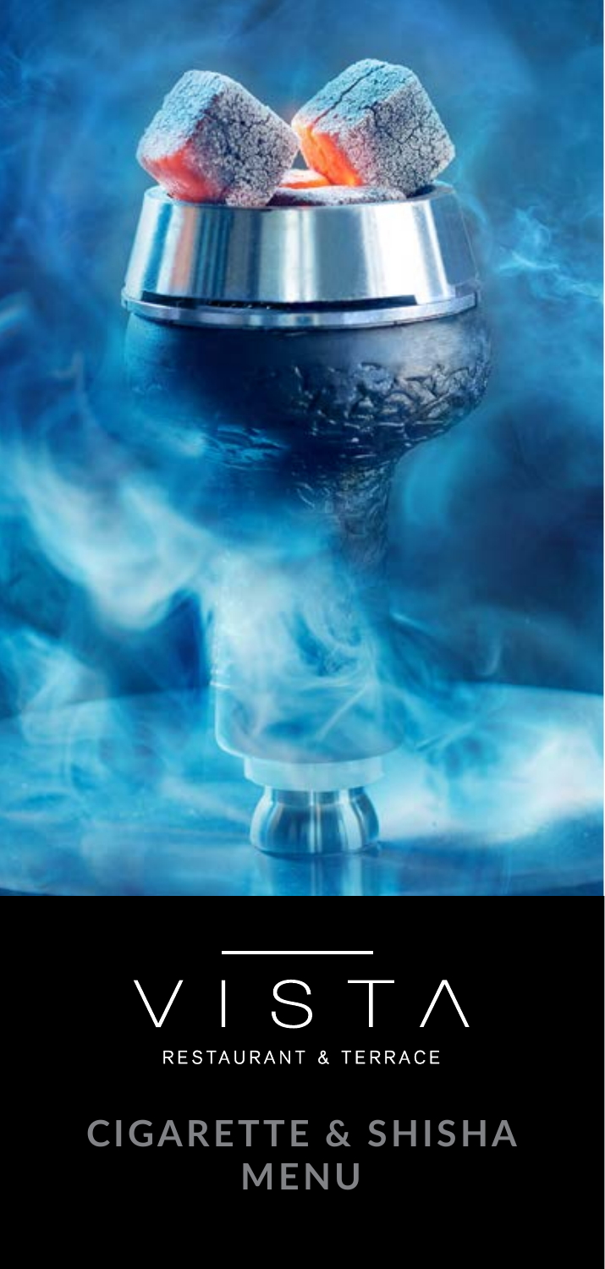

# $|S T|$ RESTAURANT & TERRACE

**CIGARETTE & SHISHA MENU**